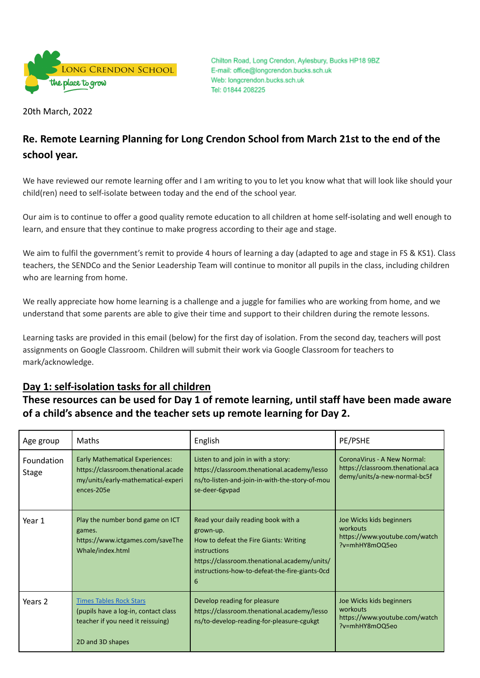

Chilton Road, Long Crendon, Aylesbury, Bucks HP18 9BZ E-mail: office@longcrendon.bucks.sch.uk Web: longcrendon.bucks.sch.uk Tel: 01844 208225

20th March, 2022

# **Re. Remote Learning Planning for Long Crendon School from March 21st to the end of the school year.**

We have reviewed our remote learning offer and I am writing to you to let you know what that will look like should your child(ren) need to self-isolate between today and the end of the school year.

Our aim is to continue to offer a good quality remote education to all children at home self-isolating and well enough to learn, and ensure that they continue to make progress according to their age and stage.

We aim to fulfil the government's remit to provide 4 hours of learning a day (adapted to age and stage in FS & KS1). Class teachers, the SENDCo and the Senior Leadership Team will continue to monitor all pupils in the class, including children who are learning from home.

We really appreciate how home learning is a challenge and a juggle for families who are working from home, and we understand that some parents are able to give their time and support to their children during the remote lessons.

Learning tasks are provided in this email (below) for the first day of isolation. From the second day, teachers will post assignments on Google Classroom. Children will submit their work via Google Classroom for teachers to mark/acknowledge.

## **Day 1: self-isolation tasks for all children**

**These resources can be used for Day 1 of remote learning, until staff have been made aware of a child's absence and the teacher sets up remote learning for Day 2.**

| Age group                  | <b>Maths</b>                                                                                                                      | English                                                                                                                                                                                                           | PE/PSHE                                                                                          |
|----------------------------|-----------------------------------------------------------------------------------------------------------------------------------|-------------------------------------------------------------------------------------------------------------------------------------------------------------------------------------------------------------------|--------------------------------------------------------------------------------------------------|
| Foundation<br><b>Stage</b> | <b>Early Mathematical Experiences:</b><br>https://classroom.thenational.acade<br>my/units/early-mathematical-experi<br>ences-205e | Listen to and join in with a story:<br>https://classroom.thenational.academy/lesso<br>ns/to-listen-and-join-in-with-the-story-of-mou<br>se-deer-6gvpad                                                            | CoronaVirus - A New Normal:<br>https://classroom.thenational.aca<br>demy/units/a-new-normal-bc5f |
| Year 1                     | Play the number bond game on ICT<br>games.<br>https://www.ictgames.com/saveThe<br>Whale/index.html                                | Read your daily reading book with a<br>grown-up.<br>How to defeat the Fire Giants: Writing<br>instructions<br>https://classroom.thenational.academy/units/<br>instructions-how-to-defeat-the-fire-giants-Ocd<br>6 | Joe Wicks kids beginners<br>workouts<br>https://www.youtube.com/watch<br>?v=mhHY8mOQ5eo          |
| Years 2                    | <b>Times Tables Rock Stars</b><br>(pupils have a log-in, contact class<br>teacher if you need it reissuing)<br>2D and 3D shapes   | Develop reading for pleasure<br>https://classroom.thenational.academy/lesso<br>ns/to-develop-reading-for-pleasure-cgukgt                                                                                          | Joe Wicks kids beginners<br>workouts<br>https://www.youtube.com/watch<br>?v=mhHY8mOQ5eo          |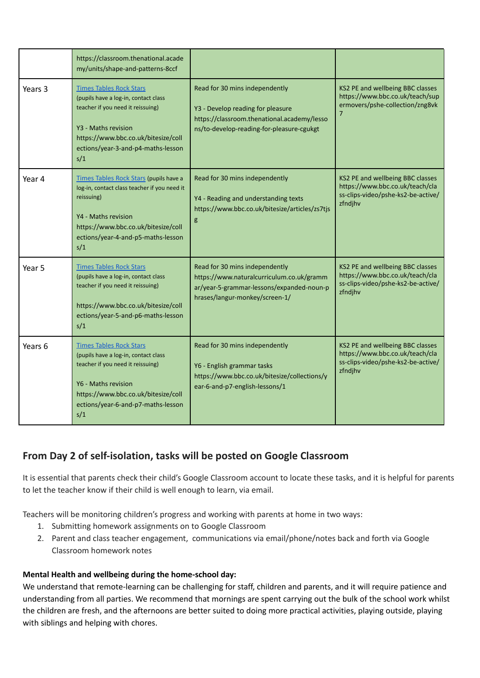|         | https://classroom.thenational.acade<br>my/units/shape-and-patterns-8ccf                                                                                                                                                |                                                                                                                                                                 |                                                                                                                      |
|---------|------------------------------------------------------------------------------------------------------------------------------------------------------------------------------------------------------------------------|-----------------------------------------------------------------------------------------------------------------------------------------------------------------|----------------------------------------------------------------------------------------------------------------------|
| Years 3 | <b>Times Tables Rock Stars</b><br>(pupils have a log-in, contact class<br>teacher if you need it reissuing)<br>Y3 - Maths revision<br>https://www.bbc.co.uk/bitesize/coll<br>ections/year-3-and-p4-maths-lesson<br>s/1 | Read for 30 mins independently<br>Y3 - Develop reading for pleasure<br>https://classroom.thenational.academy/lesso<br>ns/to-develop-reading-for-pleasure-cgukgt | KS2 PE and wellbeing BBC classes<br>https://www.bbc.co.uk/teach/sup<br>ermovers/pshe-collection/zng8vk<br>7          |
| Year 4  | Times Tables Rock Stars (pupils have a<br>log-in, contact class teacher if you need it<br>reissuing)<br>Y4 - Maths revision<br>https://www.bbc.co.uk/bitesize/coll<br>ections/year-4-and-p5-maths-lesson<br>s/1        | Read for 30 mins independently<br>Y4 - Reading and understanding texts<br>https://www.bbc.co.uk/bitesize/articles/zs7tjs<br>g                                   | KS2 PE and wellbeing BBC classes<br>https://www.bbc.co.uk/teach/cla<br>ss-clips-video/pshe-ks2-be-active/<br>zfndjhv |
| Year 5  | <b>Times Tables Rock Stars</b><br>(pupils have a log-in, contact class<br>teacher if you need it reissuing)<br>https://www.bbc.co.uk/bitesize/coll<br>ections/year-5-and-p6-maths-lesson<br>s/1                        | Read for 30 mins independently<br>https://www.naturalcurriculum.co.uk/gramm<br>ar/year-5-grammar-lessons/expanded-noun-p<br>hrases/langur-monkey/screen-1/      | KS2 PE and wellbeing BBC classes<br>https://www.bbc.co.uk/teach/cla<br>ss-clips-video/pshe-ks2-be-active/<br>zfndjhv |
| Years 6 | <b>Times Tables Rock Stars</b><br>(pupils have a log-in, contact class<br>teacher if you need it reissuing)<br>Y6 - Maths revision<br>https://www.bbc.co.uk/bitesize/coll<br>ections/year-6-and-p7-maths-lesson<br>s/1 | Read for 30 mins independently<br>Y6 - English grammar tasks<br>https://www.bbc.co.uk/bitesize/collections/y<br>ear-6-and-p7-english-lessons/1                  | KS2 PE and wellbeing BBC classes<br>https://www.bbc.co.uk/teach/cla<br>ss-clips-video/pshe-ks2-be-active/<br>zfndjhv |

## **From Day 2 of self-isolation, tasks will be posted on Google Classroom**

It is essential that parents check their child's Google Classroom account to locate these tasks, and it is helpful for parents to let the teacher know if their child is well enough to learn, via email.

Teachers will be monitoring children's progress and working with parents at home in two ways:

- 1. Submitting homework assignments on to Google Classroom
- 2. Parent and class teacher engagement, communications via email/phone/notes back and forth via Google Classroom homework notes

## **Mental Health and wellbeing during the home-school day:**

We understand that remote-learning can be challenging for staff, children and parents, and it will require patience and understanding from all parties. We recommend that mornings are spent carrying out the bulk of the school work whilst the children are fresh, and the afternoons are better suited to doing more practical activities, playing outside, playing with siblings and helping with chores.